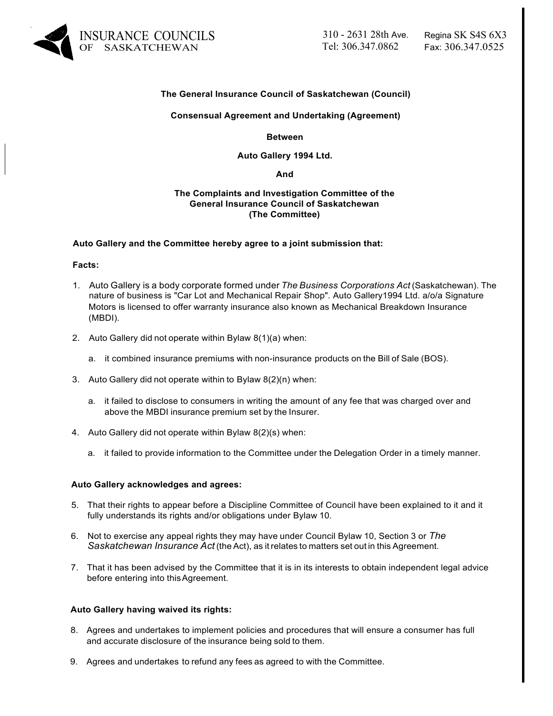

# **The General Insurance Council of Saskatchewan (Council)**

## **Consensual Agreement and Undertaking (Agreement)**

**Between**

## **Auto Gallery 1994 Ltd.**

#### **And**

## **The Complaints and Investigation Committee of the General Insurance Council of Saskatchewan (The Committee)**

## **Auto Gallery and the Committee hereby agree to a joint submission that:**

#### **Facts:**

- 1. Auto Gallery is a body corporate formed under *The Business Corporations Act* (Saskatchewan). The nature of business is "Car Lot and Mechanical Repair Shop". Auto Gallery1994 Ltd. a/o/a Signature Motors is licensed to offer warranty insurance also known as Mechanical Breakdown Insurance (MBDI).
- 2. Auto Gallery did not operate within Bylaw 8(1)(a) when:
	- a. it combined insurance premiums with non-insurance products on the Bill of Sale (BOS).
- 3. Auto Gallery did not operate within to Bylaw 8(2)(n) when:
	- a. it failed to disclose to consumers in writing the amount of any fee that was charged over and above the MBDI insurance premium set by the Insurer.
- 4. Auto Gallery did not operate within Bylaw 8(2)(s) when:
	- a. it failed to provide information to the Committee under the Delegation Order in a timely manner.

#### **Auto Gallery acknowledges and agrees:**

- 5. That their rights to appear before a Discipline Committee of Council have been explained to it and it fully understands its rights and/or obligations under Bylaw 10.
- 6. Not to exercise any appeal rights they may have under Council Bylaw 10, Section 3 or *The Saskatchewan Insurance Act* (the Act), as it relates to matters set out in this Agreement.
- 7. That it has been advised by the Committee that it is in its interests to obtain independent legal advice before entering into thisAgreement.

# **Auto Gallery having waived its rights:**

- 8. Agrees and undertakes to implement policies and procedures that will ensure a consumer has full and accurate disclosure of the insurance being sold to them.
- 9. Agrees and undertakes to refund any fees as agreed to with the Committee.